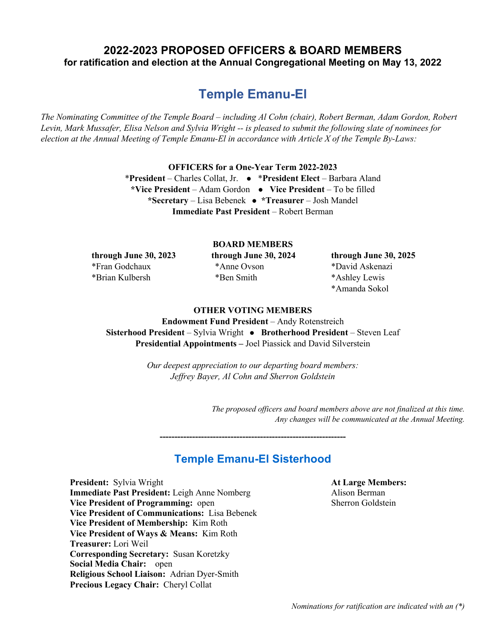## **2022-2023 PROPOSED OFFICERS & BOARD MEMBERS for ratification and election at the Annual Congregational Meeting on May 13, 2022**

# **Temple Emanu-El**

*The Nominating Committee of the Temple Board – including Al Cohn (chair), Robert Berman, Adam Gordon, Robert Levin, Mark Mussafer, Elisa Nelson and Sylvia Wright -- is pleased to submit the following slate of nominees for election at the Annual Meeting of Temple Emanu-El in accordance with Article X of the Temple By-Laws:*

**OFFICERS for a One-Year Term 2022-2023**

\***President** – Charles Collat, Jr. l \***President Elect** – Barbara Aland \*Vice President – Adam Gordon • Vice President – To be filled **\*Secretary** – Lisa Bebenek l **\*Treasurer** – Josh Mandel **Immediate Past President** – Robert Berman

#### **BOARD MEMBERS**

\*Fran Godchaux \*Anne Ovson \*David Askenazi \*Brian Kulbersh \*Ben Smith \*Ashley Lewis

**through June 30, 2023 through June 30, 2024 through June 30, 2025** \*Amanda Sokol

### **OTHER VOTING MEMBERS**

**Endowment Fund President** – Andy Rotenstreich **Sisterhood President** – Sylvia Wright • Brotherhood President – Steven Leaf **Presidential Appointments –** Joel Piassick and David Silverstein

> *Our deepest appreciation to our departing board members: Jeffrey Bayer, Al Cohn and Sherron Goldstein*

> > *The proposed officers and board members above are not finalized at this time. Any changes will be communicated at the Annual Meeting.*

## **Temple Emanu-El Sisterhood**

**---------------------------------------------------------------**

**President:** Sylvia Wright **At Large Members: Immediate Past President:** Leigh Anne Nomberg Alison Berman **Vice President of Programming:** open Sherron Goldstein **Vice President of Communications:** Lisa Bebenek **Vice President of Membership:** Kim Roth **Vice President of Ways & Means:** Kim Roth **Treasurer:** Lori Weil **Corresponding Secretary:** Susan Koretzky **Social Media Chair:** open **Religious School Liaison:** Adrian Dyer-Smith **Precious Legacy Chair:** Cheryl Collat